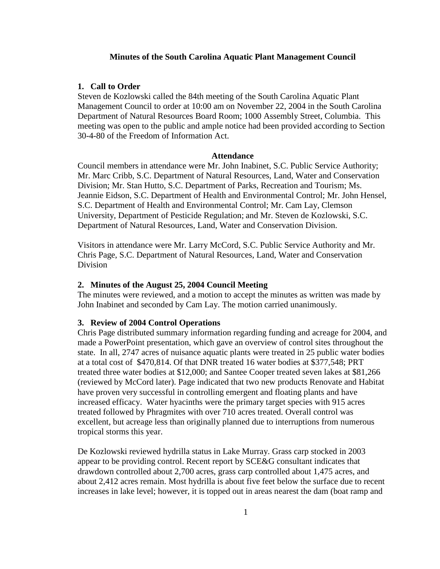## **Minutes of the South Carolina Aquatic Plant Management Council**

## **1. Call to Order**

Steven de Kozlowski called the 84th meeting of the South Carolina Aquatic Plant Management Council to order at 10:00 am on November 22, 2004 in the South Carolina Department of Natural Resources Board Room; 1000 Assembly Street, Columbia. This meeting was open to the public and ample notice had been provided according to Section 30-4-80 of the Freedom of Information Act.

### **Attendance**

Council members in attendance were Mr. John Inabinet, S.C. Public Service Authority; Mr. Marc Cribb, S.C. Department of Natural Resources, Land, Water and Conservation Division; Mr. Stan Hutto, S.C. Department of Parks, Recreation and Tourism; Ms. Jeannie Eidson, S.C. Department of Health and Environmental Control; Mr. John Hensel, S.C. Department of Health and Environmental Control; Mr. Cam Lay, Clemson University, Department of Pesticide Regulation; and Mr. Steven de Kozlowski, S.C. Department of Natural Resources, Land, Water and Conservation Division.

Visitors in attendance were Mr. Larry McCord, S.C. Public Service Authority and Mr. Chris Page, S.C. Department of Natural Resources, Land, Water and Conservation Division

### **2. Minutes of the August 25, 2004 Council Meeting**

The minutes were reviewed, and a motion to accept the minutes as written was made by John Inabinet and seconded by Cam Lay. The motion carried unanimously.

# **3. Review of 2004 Control Operations**

Chris Page distributed summary information regarding funding and acreage for 2004, and made a PowerPoint presentation, which gave an overview of control sites throughout the state. In all, 2747 acres of nuisance aquatic plants were treated in 25 public water bodies at a total cost of \$470,814. Of that DNR treated 16 water bodies at \$377,548; PRT treated three water bodies at \$12,000; and Santee Cooper treated seven lakes at \$81,266 (reviewed by McCord later). Page indicated that two new products Renovate and Habitat have proven very successful in controlling emergent and floating plants and have increased efficacy. Water hyacinths were the primary target species with 915 acres treated followed by Phragmites with over 710 acres treated. Overall control was excellent, but acreage less than originally planned due to interruptions from numerous tropical storms this year.

De Kozlowski reviewed hydrilla status in Lake Murray. Grass carp stocked in 2003 appear to be providing control. Recent report by SCE&G consultant indicates that drawdown controlled about 2,700 acres, grass carp controlled about 1,475 acres, and about 2,412 acres remain. Most hydrilla is about five feet below the surface due to recent increases in lake level; however, it is topped out in areas nearest the dam (boat ramp and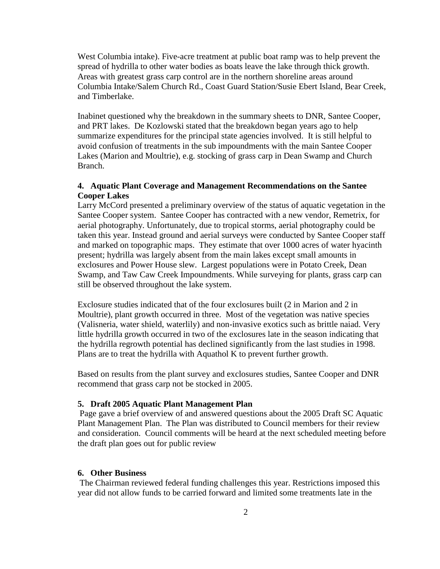West Columbia intake). Five-acre treatment at public boat ramp was to help prevent the spread of hydrilla to other water bodies as boats leave the lake through thick growth. Areas with greatest grass carp control are in the northern shoreline areas around Columbia Intake/Salem Church Rd., Coast Guard Station/Susie Ebert Island, Bear Creek, and Timberlake.

Inabinet questioned why the breakdown in the summary sheets to DNR, Santee Cooper, and PRT lakes. De Kozlowski stated that the breakdown began years ago to help summarize expenditures for the principal state agencies involved. It is still helpful to avoid confusion of treatments in the sub impoundments with the main Santee Cooper Lakes (Marion and Moultrie), e.g. stocking of grass carp in Dean Swamp and Church Branch.

## **4. Aquatic Plant Coverage and Management Recommendations on the Santee Cooper Lakes**

Larry McCord presented a preliminary overview of the status of aquatic vegetation in the Santee Cooper system. Santee Cooper has contracted with a new vendor, Remetrix, for aerial photography. Unfortunately, due to tropical storms, aerial photography could be taken this year. Instead ground and aerial surveys were conducted by Santee Cooper staff and marked on topographic maps. They estimate that over 1000 acres of water hyacinth present; hydrilla was largely absent from the main lakes except small amounts in exclosures and Power House slew. Largest populations were in Potato Creek, Dean Swamp, and Taw Caw Creek Impoundments. While surveying for plants, grass carp can still be observed throughout the lake system.

Exclosure studies indicated that of the four exclosures built (2 in Marion and 2 in Moultrie), plant growth occurred in three. Most of the vegetation was native species (Valisneria, water shield, waterlily) and non-invasive exotics such as brittle naiad. Very little hydrilla growth occurred in two of the exclosures late in the season indicating that the hydrilla regrowth potential has declined significantly from the last studies in 1998. Plans are to treat the hydrilla with Aquathol K to prevent further growth.

Based on results from the plant survey and exclosures studies, Santee Cooper and DNR recommend that grass carp not be stocked in 2005.

### **5. Draft 2005 Aquatic Plant Management Plan**

Page gave a brief overview of and answered questions about the 2005 Draft SC Aquatic Plant Management Plan. The Plan was distributed to Council members for their review and consideration. Council comments will be heard at the next scheduled meeting before the draft plan goes out for public review

#### **6. Other Business**

The Chairman reviewed federal funding challenges this year. Restrictions imposed this year did not allow funds to be carried forward and limited some treatments late in the